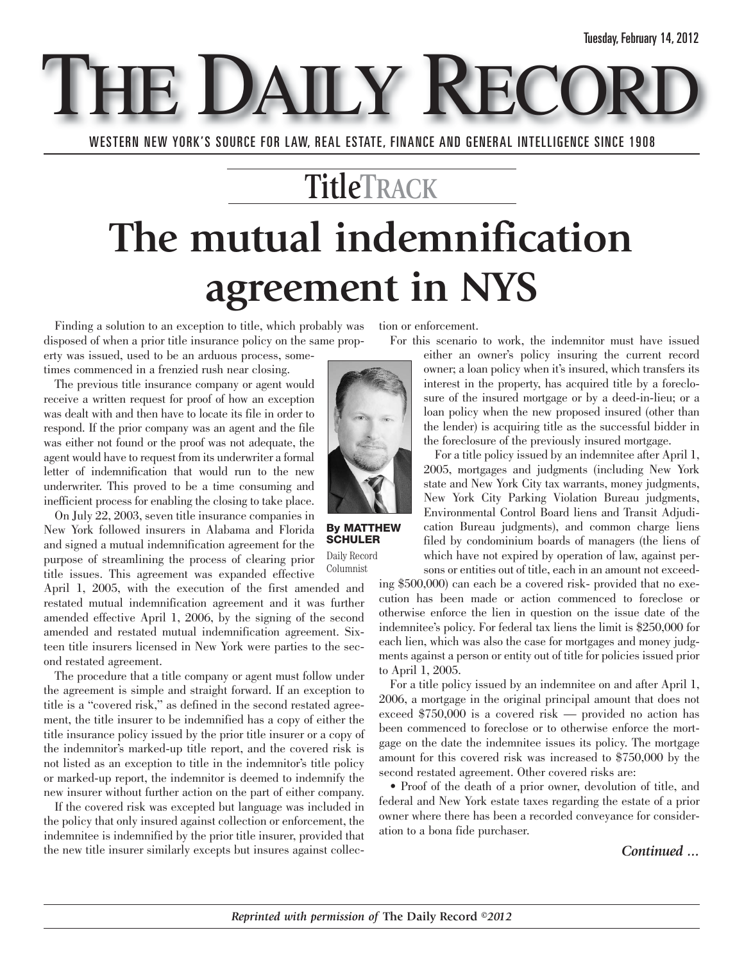E DAILY REC

WESTERN NEW YORK'S SOURCE FOR LAW, REAL ESTATE, FINANCE AND GENERAL INTELLIGENCE SINCE 1908

## **TitleTRACK The mutual indemnification agreement in NYS**

Finding a solution to an exception to title, which probably was disposed of when a prior title insurance policy on the same prop-

erty was issued, used to be an arduous process, sometimes commenced in a frenzied rush near closing.

The previous title insurance company or agent would receive a written request for proof of how an exception was dealt with and then have to locate its file in order to respond. If the prior company was an agent and the file was either not found or the proof was not adequate, the agent would have to request from its underwriter a formal letter of indemnification that would run to the new underwriter. This proved to be a time consuming and inefficient process for enabling the closing to take place.

On July 22, 2003, seven title insurance companies in New York followed insurers in Alabama and Florida and signed a mutual indemnification agreement for the purpose of streamlining the process of clearing prior title issues. This agreement was expanded effective

April 1, 2005, with the execution of the first amended and restated mutual indemnification agreement and it was further amended effective April 1, 2006, by the signing of the second amended and restated mutual indemnification agreement. Sixteen title insurers licensed in New York were parties to the second restated agreement.

The procedure that a title company or agent must follow under the agreement is simple and straight forward. If an exception to title is a "covered risk," as defined in the second restated agreement, the title insurer to be indemnified has a copy of either the title insurance policy issued by the prior title insurer or a copy of the indemnitor's marked-up title report, and the covered risk is not listed as an exception to title in the indemnitor's title policy or marked-up report, the indemnitor is deemed to indemnify the new insurer without further action on the part of either company.

If the covered risk was excepted but language was included in the policy that only insured against collection or enforcement, the indemnitee is indemnified by the prior title insurer, provided that the new title insurer similarly excepts but insures against collection or enforcement.

For this scenario to work, the indemnitor must have issued



**By MATTHEW SCHULER** Daily Record

Columnist

either an owner's policy insuring the current record owner; a loan policy when it's insured, which transfers its interest in the property, has acquired title by a foreclosure of the insured mortgage or by a deed-in-lieu; or a loan policy when the new proposed insured (other than the lender) is acquiring title as the successful bidder in the foreclosure of the previously insured mortgage.

For a title policy issued by an indemnitee after April 1, 2005, mortgages and judgments (including New York state and New York City tax warrants, money judgments, New York City Parking Violation Bureau judgments, Environmental Control Board liens and Transit Adjudication Bureau judgments), and common charge liens filed by condominium boards of managers (the liens of which have not expired by operation of law, against persons or entities out of title, each in an amount not exceed-

ing \$500,000) can each be a covered risk- provided that no execution has been made or action commenced to foreclose or otherwise enforce the lien in question on the issue date of the indemnitee's policy. For federal tax liens the limit is \$250,000 for each lien, which was also the case for mortgages and money judgments against a person or entity out of title for policies issued prior to April 1, 2005.

For a title policy issued by an indemnitee on and after April 1, 2006, a mortgage in the original principal amount that does not exceed \$750,000 is a covered risk — provided no action has been commenced to foreclose or to otherwise enforce the mortgage on the date the indemnitee issues its policy. The mortgage amount for this covered risk was increased to \$750,000 by the second restated agreement. Other covered risks are:

• Proof of the death of a prior owner, devolution of title, and federal and New York estate taxes regarding the estate of a prior owner where there has been a recorded conveyance for consideration to a bona fide purchaser.

*Continued ...*